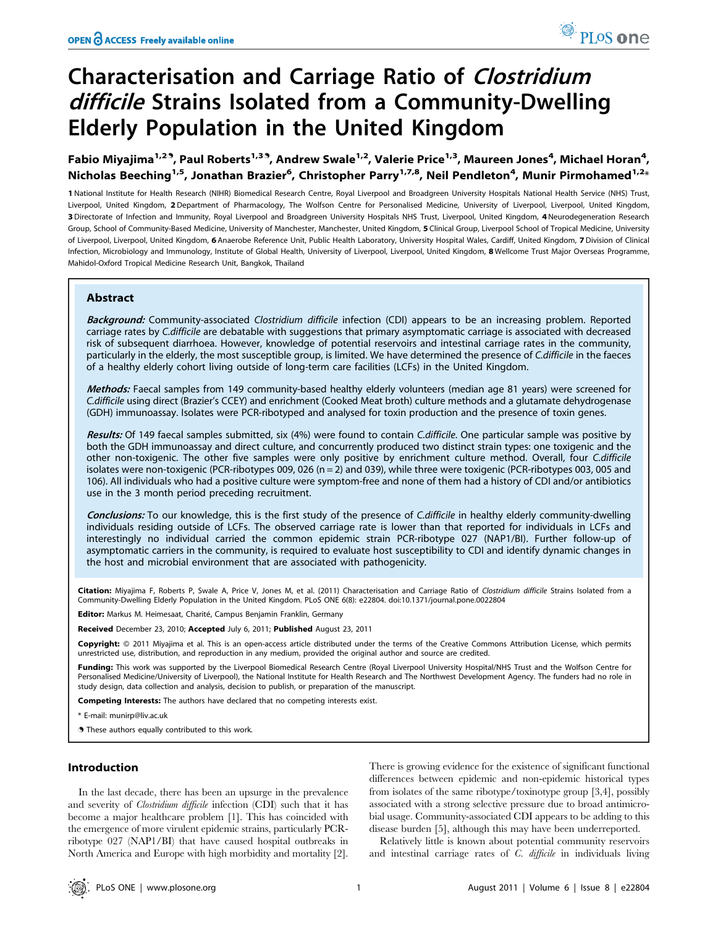# Characterisation and Carriage Ratio of Clostridium difficile Strains Isolated from a Community-Dwelling Elderly Population in the United Kingdom

Fabio Miyajima $^{1,2,9}$ , Paul Roberts $^{1,3,9}$ , Andrew Swale $^{1,2}$ , Valerie Price $^{1,3}$ , Maureen Jones $^4$ , Michael Horan $^4$ , Nicholas Beeching<sup>1,5</sup>, Jonathan Brazier<sup>6</sup>, Christopher Parry<sup>1,7,8</sup>, Neil Pendleton<sup>4</sup>, Munir Pirmohamed<sup>1,2</sup>\*

1 National Institute for Health Research (NIHR) Biomedical Research Centre, Royal Liverpool and Broadgreen University Hospitals National Health Service (NHS) Trust, Liverpool, United Kingdom, 2 Department of Pharmacology, The Wolfson Centre for Personalised Medicine, University of Liverpool, Liverpool, United Kingdom, 3 Directorate of Infection and Immunity, Royal Liverpool and Broadgreen University Hospitals NHS Trust, Liverpool, United Kingdom, 4 Neurodegeneration Research Group, School of Community-Based Medicine, University of Manchester, Manchester, United Kingdom, 5 Clinical Group, Liverpool School of Tropical Medicine, University of Liverpool, Liverpool, United Kingdom, 6 Anaerobe Reference Unit, Public Health Laboratory, University Hospital Wales, Cardiff, United Kingdom, 7 Division of Clinical Infection, Microbiology and Immunology, Institute of Global Health, University of Liverpool, Liverpool, United Kingdom, 8 Wellcome Trust Major Overseas Programme, Mahidol-Oxford Tropical Medicine Research Unit, Bangkok, Thailand

### Abstract

Background: Community-associated Clostridium difficile infection (CDI) appears to be an increasing problem. Reported carriage rates by C.difficile are debatable with suggestions that primary asymptomatic carriage is associated with decreased risk of subsequent diarrhoea. However, knowledge of potential reservoirs and intestinal carriage rates in the community, particularly in the elderly, the most susceptible group, is limited. We have determined the presence of C.difficile in the faeces of a healthy elderly cohort living outside of long-term care facilities (LCFs) in the United Kingdom.

Methods: Faecal samples from 149 community-based healthy elderly volunteers (median age 81 years) were screened for C.difficile using direct (Brazier's CCEY) and enrichment (Cooked Meat broth) culture methods and a glutamate dehydrogenase (GDH) immunoassay. Isolates were PCR-ribotyped and analysed for toxin production and the presence of toxin genes.

Results: Of 149 faecal samples submitted, six (4%) were found to contain C.difficile. One particular sample was positive by both the GDH immunoassay and direct culture, and concurrently produced two distinct strain types: one toxigenic and the other non-toxigenic. The other five samples were only positive by enrichment culture method. Overall, four C.difficile isolates were non-toxigenic (PCR-ribotypes 009, 026 (n = 2) and 039), while three were toxigenic (PCR-ribotypes 003, 005 and 106). All individuals who had a positive culture were symptom-free and none of them had a history of CDI and/or antibiotics use in the 3 month period preceding recruitment.

Conclusions: To our knowledge, this is the first study of the presence of C.difficile in healthy elderly community-dwelling individuals residing outside of LCFs. The observed carriage rate is lower than that reported for individuals in LCFs and interestingly no individual carried the common epidemic strain PCR-ribotype 027 (NAP1/BI). Further follow-up of asymptomatic carriers in the community, is required to evaluate host susceptibility to CDI and identify dynamic changes in the host and microbial environment that are associated with pathogenicity.

Citation: Miyajima F, Roberts P, Swale A, Price V, Jones M, et al. (2011) Characterisation and Carriage Ratio of Clostridium difficile Strains Isolated from a Community-Dwelling Elderly Population in the United Kingdom. PLoS ONE 6(8): e22804. doi:10.1371/journal.pone.0022804

Editor: Markus M. Heimesaat, Charité, Campus Benjamin Franklin, Germany

Received December 23, 2010; Accepted July 6, 2011; Published August 23, 2011

Copyright: © 2011 Miyajima et al. This is an open-access article distributed under the terms of the Creative Commons Attribution License, which permits unrestricted use, distribution, and reproduction in any medium, provided the original author and source are credited.

Funding: This work was supported by the Liverpool Biomedical Research Centre (Royal Liverpool University Hospital/NHS Trust and the Wolfson Centre for Personalised Medicine/University of Liverpool), the National Institute for Health Research and The Northwest Development Agency. The funders had no role in study design, data collection and analysis, decision to publish, or preparation of the manuscript.

Competing Interests: The authors have declared that no competing interests exist.

\* E-mail: munirp@liv.ac.uk

**.** These authors equally contributed to this work.

#### Introduction

In the last decade, there has been an upsurge in the prevalence and severity of Clostridium difficile infection (CDI) such that it has become a major healthcare problem [1]. This has coincided with the emergence of more virulent epidemic strains, particularly PCRribotype 027 (NAP1/BI) that have caused hospital outbreaks in North America and Europe with high morbidity and mortality [2]. There is growing evidence for the existence of significant functional differences between epidemic and non-epidemic historical types from isolates of the same ribotype/toxinotype group [3,4], possibly associated with a strong selective pressure due to broad antimicrobial usage. Community-associated CDI appears to be adding to this disease burden [5], although this may have been underreported.

Relatively little is known about potential community reservoirs and intestinal carriage rates of C. difficile in individuals living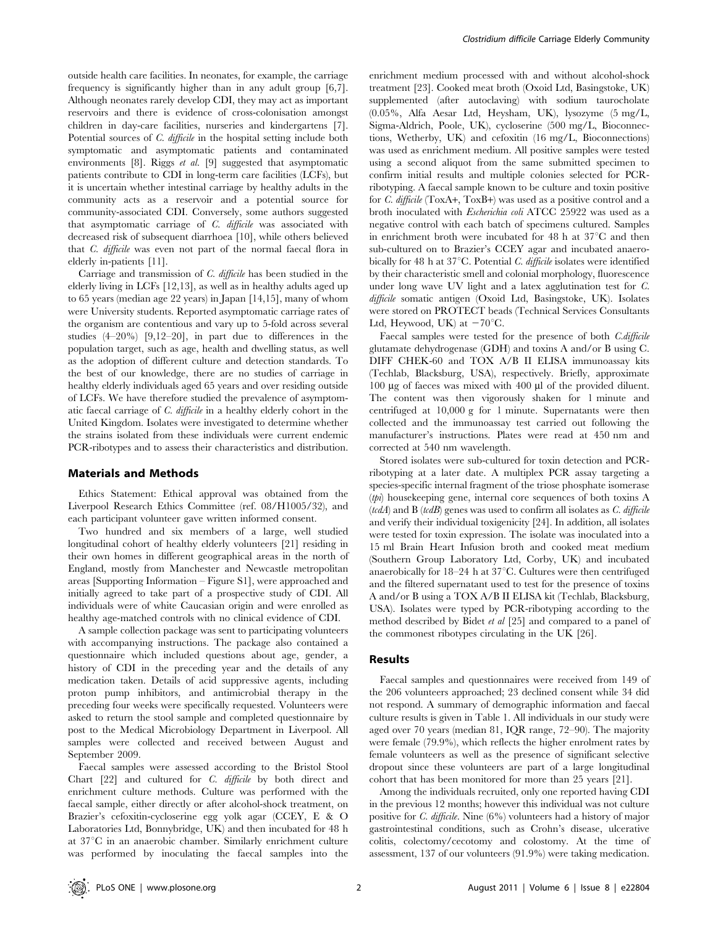outside health care facilities. In neonates, for example, the carriage frequency is significantly higher than in any adult group [6,7]. Although neonates rarely develop CDI, they may act as important reservoirs and there is evidence of cross-colonisation amongst children in day-care facilities, nurseries and kindergartens [7]. Potential sources of C. difficile in the hospital setting include both symptomatic and asymptomatic patients and contaminated environments [8]. Riggs *et al.* [9] suggested that asymptomatic patients contribute to CDI in long-term care facilities (LCFs), but it is uncertain whether intestinal carriage by healthy adults in the community acts as a reservoir and a potential source for community-associated CDI. Conversely, some authors suggested that asymptomatic carriage of C. difficile was associated with decreased risk of subsequent diarrhoea [10], while others believed that C. difficile was even not part of the normal faecal flora in elderly in-patients [11].

Carriage and transmission of C. difficile has been studied in the elderly living in LCFs [12,13], as well as in healthy adults aged up to 65 years (median age 22 years) in Japan [14,15], many of whom were University students. Reported asymptomatic carriage rates of the organism are contentious and vary up to 5-fold across several studies (4–20%) [9,12–20], in part due to differences in the population target, such as age, health and dwelling status, as well as the adoption of different culture and detection standards. To the best of our knowledge, there are no studies of carriage in healthy elderly individuals aged 65 years and over residing outside of LCFs. We have therefore studied the prevalence of asymptomatic faecal carriage of C. difficile in a healthy elderly cohort in the United Kingdom. Isolates were investigated to determine whether the strains isolated from these individuals were current endemic PCR-ribotypes and to assess their characteristics and distribution.

#### Materials and Methods

Ethics Statement: Ethical approval was obtained from the Liverpool Research Ethics Committee (ref. 08/H1005/32), and each participant volunteer gave written informed consent.

Two hundred and six members of a large, well studied longitudinal cohort of healthy elderly volunteers [21] residing in their own homes in different geographical areas in the north of England, mostly from Manchester and Newcastle metropolitan areas [Supporting Information – Figure S1], were approached and initially agreed to take part of a prospective study of CDI. All individuals were of white Caucasian origin and were enrolled as healthy age-matched controls with no clinical evidence of CDI.

A sample collection package was sent to participating volunteers with accompanying instructions. The package also contained a questionnaire which included questions about age, gender, a history of CDI in the preceding year and the details of any medication taken. Details of acid suppressive agents, including proton pump inhibitors, and antimicrobial therapy in the preceding four weeks were specifically requested. Volunteers were asked to return the stool sample and completed questionnaire by post to the Medical Microbiology Department in Liverpool. All samples were collected and received between August and September 2009.

Faecal samples were assessed according to the Bristol Stool Chart [22] and cultured for C. difficile by both direct and enrichment culture methods. Culture was performed with the faecal sample, either directly or after alcohol-shock treatment, on Brazier's cefoxitin-cycloserine egg yolk agar (CCEY, E & O Laboratories Ltd, Bonnybridge, UK) and then incubated for 48 h at  $37^{\circ}$ C in an anaerobic chamber. Similarly enrichment culture was performed by inoculating the faecal samples into the

enrichment medium processed with and without alcohol-shock treatment [23]. Cooked meat broth (Oxoid Ltd, Basingstoke, UK) supplemented (after autoclaving) with sodium taurocholate (0.05%, Alfa Aesar Ltd, Heysham, UK), lysozyme (5 mg/L, Sigma-Aldrich, Poole, UK), cycloserine (500 mg/L, Bioconnections, Wetherby, UK) and cefoxitin (16 mg/L, Bioconnections) was used as enrichment medium. All positive samples were tested using a second aliquot from the same submitted specimen to confirm initial results and multiple colonies selected for PCRribotyping. A faecal sample known to be culture and toxin positive for C. difficile (ToxA+, ToxB+) was used as a positive control and a broth inoculated with Escherichia coli ATCC 25922 was used as a negative control with each batch of specimens cultured. Samples in enrichment broth were incubated for 48 h at  $37^{\circ}$ C and then sub-cultured on to Brazier's CCEY agar and incubated anaerobically for 48 h at  $37^{\circ}$ C. Potential *C. difficile* isolates were identified by their characteristic smell and colonial morphology, fluorescence under long wave UV light and a latex agglutination test for C. difficile somatic antigen (Oxoid Ltd, Basingstoke, UK). Isolates were stored on PROTECT beads (Technical Services Consultants Ltd, Heywood, UK) at  $-70^{\circ}$ C.

Faecal samples were tested for the presence of both C.difficile glutamate dehydrogenase (GDH) and toxins A and/or B using C. DIFF CHEK-60 and TOX A/B II ELISA immunoassay kits (Techlab, Blacksburg, USA), respectively. Briefly, approximate 100 µg of faeces was mixed with 400 µl of the provided diluent. The content was then vigorously shaken for 1 minute and centrifuged at 10,000 g for 1 minute. Supernatants were then collected and the immunoassay test carried out following the manufacturer's instructions. Plates were read at 450 nm and corrected at 540 nm wavelength.

Stored isolates were sub-cultured for toxin detection and PCRribotyping at a later date. A multiplex PCR assay targeting a species-specific internal fragment of the triose phosphate isomerase (tpi) housekeeping gene, internal core sequences of both toxins A  $(tcdA)$  and B  $(tcdB)$  genes was used to confirm all isolates as C. difficile and verify their individual toxigenicity [24]. In addition, all isolates were tested for toxin expression. The isolate was inoculated into a 15 ml Brain Heart Infusion broth and cooked meat medium (Southern Group Laboratory Ltd, Corby, UK) and incubated anaerobically for  $18-24$  h at  $37^{\circ}$ C. Cultures were then centrifuged and the filtered supernatant used to test for the presence of toxins A and/or B using a TOX A/B II ELISA kit (Techlab, Blacksburg, USA). Isolates were typed by PCR-ribotyping according to the method described by Bidet et al [25] and compared to a panel of the commonest ribotypes circulating in the UK [26].

#### Results

Faecal samples and questionnaires were received from 149 of the 206 volunteers approached; 23 declined consent while 34 did not respond. A summary of demographic information and faecal culture results is given in Table 1. All individuals in our study were aged over 70 years (median 81, IQR range, 72–90). The majority were female (79.9%), which reflects the higher enrolment rates by female volunteers as well as the presence of significant selective dropout since these volunteers are part of a large longitudinal cohort that has been monitored for more than 25 years [21].

Among the individuals recruited, only one reported having CDI in the previous 12 months; however this individual was not culture positive for C. difficile. Nine (6%) volunteers had a history of major gastrointestinal conditions, such as Crohn's disease, ulcerative colitis, colectomy/cecotomy and colostomy. At the time of assessment, 137 of our volunteers (91.9%) were taking medication.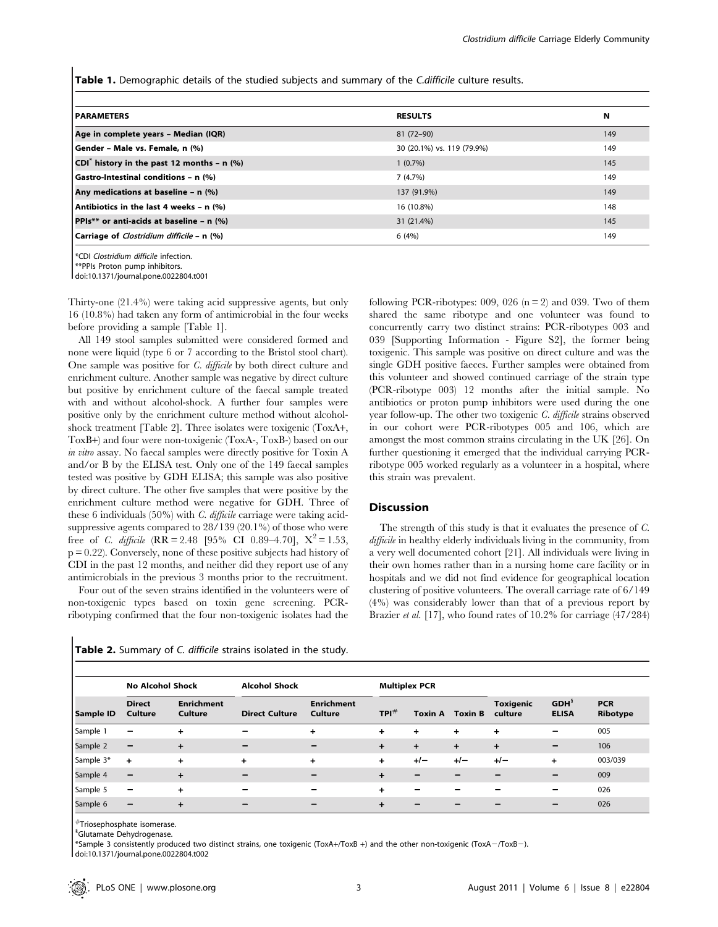Table 1. Demographic details of the studied subjects and summary of the C.difficile culture results.

| <b>PARAMETERS</b>                                      | <b>RESULTS</b>             | N   |
|--------------------------------------------------------|----------------------------|-----|
| Age in complete years - Median (IQR)                   | 81 (72-90)                 | 149 |
| Gender - Male vs. Female, n (%)                        | 30 (20.1%) vs. 119 (79.9%) | 149 |
| CDI <sup>®</sup> history in the past 12 months - n (%) | $1(0.7\%)$                 | 145 |
| Gastro-Intestinal conditions - n (%)                   | 7(4.7%)                    | 149 |
| Any medications at baseline - n (%)                    | 137 (91.9%)                | 149 |
| Antibiotics in the last 4 weeks - $n$ (%)              | 16 (10.8%)                 | 148 |
| PPIs** or anti-acids at baseline - n (%)               | 31 (21.4%)                 | 145 |
| Carriage of Clostridium difficile - n (%)              | 6(4%)                      | 149 |
|                                                        |                            |     |

\*CDI Clostridium difficile infection.

\*\*PPIs Proton pump inhibitors. doi:10.1371/journal.pone.0022804.t001

Thirty-one (21.4%) were taking acid suppressive agents, but only 16 (10.8%) had taken any form of antimicrobial in the four weeks before providing a sample [Table 1].

All 149 stool samples submitted were considered formed and none were liquid (type 6 or 7 according to the Bristol stool chart). One sample was positive for C. difficile by both direct culture and enrichment culture. Another sample was negative by direct culture but positive by enrichment culture of the faecal sample treated with and without alcohol-shock. A further four samples were positive only by the enrichment culture method without alcoholshock treatment [Table 2]. Three isolates were toxigenic (ToxA+, ToxB+) and four were non-toxigenic (ToxA-, ToxB-) based on our in vitro assay. No faecal samples were directly positive for Toxin A and/or B by the ELISA test. Only one of the 149 faecal samples tested was positive by GDH ELISA; this sample was also positive by direct culture. The other five samples that were positive by the enrichment culture method were negative for GDH. Three of these 6 individuals  $(50\%)$  with *C. difficile* carriage were taking acidsuppressive agents compared to 28/139 (20.1%) of those who were free of *C. difficile* (RR = 2.48 [95% CI 0.89–4.70],  $X^2 = 1.53$ ,  $p = 0.22$ ). Conversely, none of these positive subjects had history of CDI in the past 12 months, and neither did they report use of any antimicrobials in the previous 3 months prior to the recruitment.

Four out of the seven strains identified in the volunteers were of non-toxigenic types based on toxin gene screening. PCRribotyping confirmed that the four non-toxigenic isolates had the

Table 2. Summary of C. difficile strains isolated in the study.

following PCR-ribotypes: 009, 026 ( $n = 2$ ) and 039. Two of them shared the same ribotype and one volunteer was found to concurrently carry two distinct strains: PCR-ribotypes 003 and 039 [Supporting Information - Figure S2], the former being toxigenic. This sample was positive on direct culture and was the single GDH positive faeces. Further samples were obtained from this volunteer and showed continued carriage of the strain type (PCR-ribotype 003) 12 months after the initial sample. No antibiotics or proton pump inhibitors were used during the one year follow-up. The other two toxigenic C. difficile strains observed in our cohort were PCR-ribotypes 005 and 106, which are amongst the most common strains circulating in the UK [26]. On further questioning it emerged that the individual carrying PCRribotype 005 worked regularly as a volunteer in a hospital, where this strain was prevalent.

#### **Discussion**

The strength of this study is that it evaluates the presence of C. difficile in healthy elderly individuals living in the community, from a very well documented cohort [21]. All individuals were living in their own homes rather than in a nursing home care facility or in hospitals and we did not find evidence for geographical location clustering of positive volunteers. The overall carriage rate of 6/149 (4%) was considerably lower than that of a previous report by Brazier *et al.* [17], who found rates of 10.2% for carriage (47/284)

|           | <b>No Alcohol Shock</b>  |                              | <b>Alcohol Shock</b>     |                              |            | <b>Multiplex PCR</b> |           |                             |                          |                        |
|-----------|--------------------------|------------------------------|--------------------------|------------------------------|------------|----------------------|-----------|-----------------------------|--------------------------|------------------------|
| Sample ID | <b>Direct</b><br>Culture | <b>Enrichment</b><br>Culture | <b>Direct Culture</b>    | <b>Enrichment</b><br>Culture | $TPI^{\#}$ | Toxin A              | Toxin B   | <b>Toxigenic</b><br>culture | $GDH^s$<br><b>ELISA</b>  | <b>PCR</b><br>Ribotype |
| Sample 1  | $\overline{\phantom{m}}$ | ÷                            | -                        | $\div$                       | $\ddot{}$  | ÷                    | $\ddot{}$ | $\ddot{}$                   | $\overline{\phantom{m}}$ | 005                    |
| Sample 2  | $\qquad \qquad -$        | $\ddot{}$                    | $\overline{\phantom{m}}$ | -                            | $+$        | $\pm$                | $+$       | $\ddot{\phantom{1}}$        | $\overline{\phantom{m}}$ | 106                    |
| Sample 3* | $+$                      | $\ddot{}$                    | $\ddot{}$                | $\div$                       | $\ddot{}$  | $+/-$                | $+/-$     | $+/-$                       | $\ddot{}$                | 003/039                |
| Sample 4  | $\overline{\phantom{0}}$ | $\ddot{}$                    | -                        |                              | $\div$     |                      |           |                             | -                        | 009                    |
| Sample 5  | $\overline{\phantom{0}}$ | $\ddot{}$                    | -                        |                              | $\div$     |                      |           |                             | $\overline{\phantom{0}}$ | 026                    |
| Sample 6  | $\overline{\phantom{m}}$ | $\ddot{}$                    | $\overline{\phantom{m}}$ | -                            | $\ddot{}$  |                      |           |                             | $\overline{\phantom{m}}$ | 026                    |

 $^\#$ Triosephosphate isomerase.

<sup>§</sup>Glutamate Dehydrogenase.

 $*$ Sample 3 consistently produced two distinct strains, one toxigenic (ToxA+/ToxB +) and the other non-toxigenic (ToxA-/ToxB-).

doi:10.1371/journal.pone.0022804.t002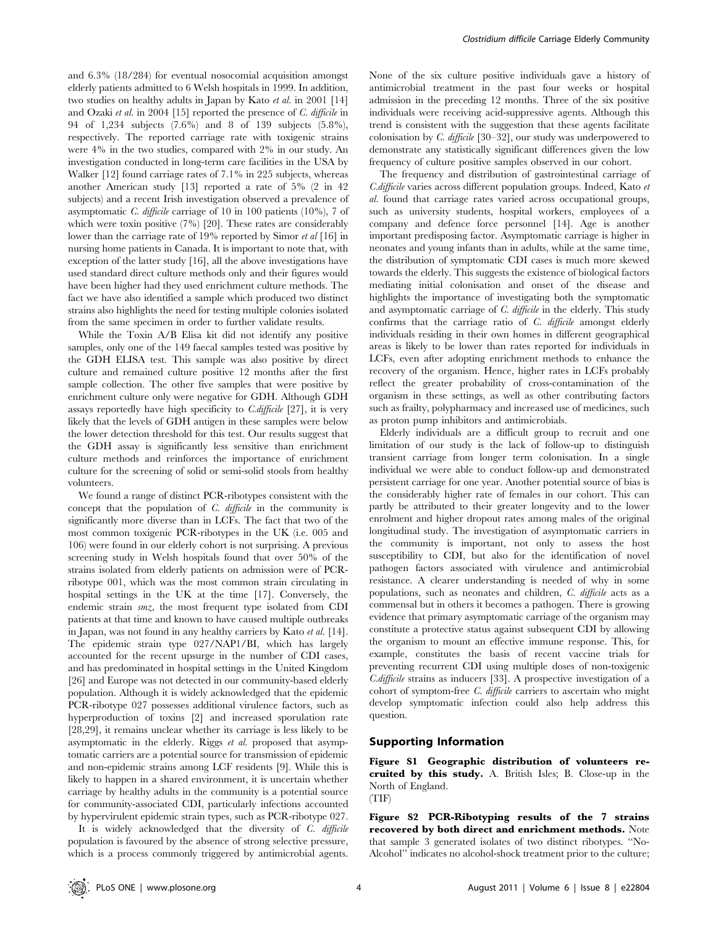and 6.3% (18/284) for eventual nosocomial acquisition amongst elderly patients admitted to 6 Welsh hospitals in 1999. In addition, two studies on healthy adults in Japan by Kato et al. in 2001 [14] and Ozaki et al. in 2004 [15] reported the presence of C. difficile in 94 of 1,234 subjects (7.6%) and 8 of 139 subjects (5.8%), respectively. The reported carriage rate with toxigenic strains were 4% in the two studies, compared with 2% in our study. An investigation conducted in long-term care facilities in the USA by Walker [12] found carriage rates of 7.1% in 225 subjects, whereas another American study [13] reported a rate of 5% (2 in 42 subjects) and a recent Irish investigation observed a prevalence of asymptomatic C. difficile carriage of 10 in 100 patients (10%), 7 of which were toxin positive (7%) [20]. These rates are considerably lower than the carriage rate of 19% reported by Simor et al [16] in nursing home patients in Canada. It is important to note that, with exception of the latter study [16], all the above investigations have used standard direct culture methods only and their figures would have been higher had they used enrichment culture methods. The fact we have also identified a sample which produced two distinct strains also highlights the need for testing multiple colonies isolated from the same specimen in order to further validate results.

While the Toxin A/B Elisa kit did not identify any positive samples, only one of the 149 faecal samples tested was positive by the GDH ELISA test. This sample was also positive by direct culture and remained culture positive 12 months after the first sample collection. The other five samples that were positive by enrichment culture only were negative for GDH. Although GDH assays reportedly have high specificity to  $C$ . difficile [27], it is very likely that the levels of GDH antigen in these samples were below the lower detection threshold for this test. Our results suggest that the GDH assay is significantly less sensitive than enrichment culture methods and reinforces the importance of enrichment culture for the screening of solid or semi-solid stools from healthy volunteers.

We found a range of distinct PCR-ribotypes consistent with the concept that the population of C. difficile in the community is significantly more diverse than in LCFs. The fact that two of the most common toxigenic PCR-ribotypes in the UK (i.e. 005 and 106) were found in our elderly cohort is not surprising. A previous screening study in Welsh hospitals found that over 50% of the strains isolated from elderly patients on admission were of PCRribotype 001, which was the most common strain circulating in hospital settings in the UK at the time [17]. Conversely, the endemic strain smz, the most frequent type isolated from CDI patients at that time and known to have caused multiple outbreaks in Japan, was not found in any healthy carriers by Kato et al. [14]. The epidemic strain type 027/NAP1/BI, which has largely accounted for the recent upsurge in the number of CDI cases, and has predominated in hospital settings in the United Kingdom [26] and Europe was not detected in our community-based elderly population. Although it is widely acknowledged that the epidemic PCR-ribotype 027 possesses additional virulence factors, such as hyperproduction of toxins [2] and increased sporulation rate [28,29], it remains unclear whether its carriage is less likely to be asymptomatic in the elderly. Riggs et al. proposed that asymptomatic carriers are a potential source for transmission of epidemic and non-epidemic strains among LCF residents [9]. While this is likely to happen in a shared environment, it is uncertain whether carriage by healthy adults in the community is a potential source for community-associated CDI, particularly infections accounted by hypervirulent epidemic strain types, such as PCR-ribotype 027.

It is widely acknowledged that the diversity of C. difficile population is favoured by the absence of strong selective pressure, which is a process commonly triggered by antimicrobial agents.

None of the six culture positive individuals gave a history of antimicrobial treatment in the past four weeks or hospital admission in the preceding 12 months. Three of the six positive individuals were receiving acid-suppressive agents. Although this trend is consistent with the suggestion that these agents facilitate colonisation by C. difficile [30–32], our study was underpowered to demonstrate any statistically significant differences given the low frequency of culture positive samples observed in our cohort.

The frequency and distribution of gastrointestinal carriage of C.difficile varies across different population groups. Indeed, Kato et al. found that carriage rates varied across occupational groups, such as university students, hospital workers, employees of a company and defence force personnel [14]. Age is another important predisposing factor. Asymptomatic carriage is higher in neonates and young infants than in adults, while at the same time, the distribution of symptomatic CDI cases is much more skewed towards the elderly. This suggests the existence of biological factors mediating initial colonisation and onset of the disease and highlights the importance of investigating both the symptomatic and asymptomatic carriage of C. difficile in the elderly. This study confirms that the carriage ratio of C. difficile amongst elderly individuals residing in their own homes in different geographical areas is likely to be lower than rates reported for individuals in LCFs, even after adopting enrichment methods to enhance the recovery of the organism. Hence, higher rates in LCFs probably reflect the greater probability of cross-contamination of the organism in these settings, as well as other contributing factors such as frailty, polypharmacy and increased use of medicines, such as proton pump inhibitors and antimicrobials.

Elderly individuals are a difficult group to recruit and one limitation of our study is the lack of follow-up to distinguish transient carriage from longer term colonisation. In a single individual we were able to conduct follow-up and demonstrated persistent carriage for one year. Another potential source of bias is the considerably higher rate of females in our cohort. This can partly be attributed to their greater longevity and to the lower enrolment and higher dropout rates among males of the original longitudinal study. The investigation of asymptomatic carriers in the community is important, not only to assess the host susceptibility to CDI, but also for the identification of novel pathogen factors associated with virulence and antimicrobial resistance. A clearer understanding is needed of why in some populations, such as neonates and children, C. difficile acts as a commensal but in others it becomes a pathogen. There is growing evidence that primary asymptomatic carriage of the organism may constitute a protective status against subsequent CDI by allowing the organism to mount an effective immune response. This, for example, constitutes the basis of recent vaccine trials for preventing recurrent CDI using multiple doses of non-toxigenic C.difficile strains as inducers [33]. A prospective investigation of a cohort of symptom-free C. difficile carriers to ascertain who might develop symptomatic infection could also help address this question.

#### Supporting Information

Figure S1 Geographic distribution of volunteers recruited by this study. A. British Isles; B. Close-up in the North of England. (TIF)

Figure S2 PCR-Ribotyping results of the 7 strains recovered by both direct and enrichment methods. Note that sample 3 generated isolates of two distinct ribotypes. ''No-Alcohol'' indicates no alcohol-shock treatment prior to the culture;